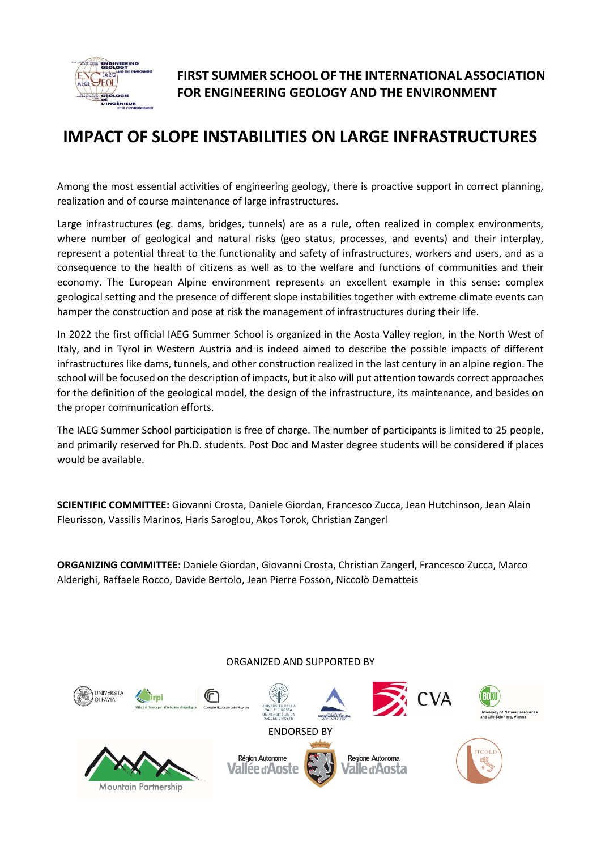

Mountain Partnership

# **FIRST SUMMER SCHOOL OF THE INTERNATIONAL ASSOCIATION FOR ENGINEERING GEOLOGY AND THE ENVIRONMENT**

# **IMPACT OF SLOPE INSTABILITIES ON LARGE INFRASTRUCTURES**

Among the most essential activities of engineering geology, there is proactive support in correct planning, realization and of course maintenance of large infrastructures.

Large infrastructures (eg. dams, bridges, tunnels) are as a rule, often realized in complex environments, where number of geological and natural risks (geo status, processes, and events) and their interplay, represent a potential threat to the functionality and safety of infrastructures, workers and users, and as a consequence to the health of citizens as well as to the welfare and functions of communities and their economy. The European Alpine environment represents an excellent example in this sense: complex geological setting and the presence of different slope instabilities together with extreme climate events can hamper the construction and pose at risk the management of infrastructures during their life.

In 2022 the first official IAEG Summer School is organized in the Aosta Valley region, in the North West of Italy, and in Tyrol in Western Austria and is indeed aimed to describe the possible impacts of different infrastructures like dams, tunnels, and other construction realized in the last century in an alpine region. The school will be focused on the description of impacts, but it also will put attention towards correct approaches for the definition of the geological model, the design of the infrastructure, its maintenance, and besides on the proper communication efforts.

The IAEG Summer School participation is free of charge. The number of participants is limited to 25 people, and primarily reserved for Ph.D. students. Post Doc and Master degree students will be considered if places would be available.

**SCIENTIFIC COMMITTEE:** Giovanni Crosta, Daniele Giordan, Francesco Zucca, Jean Hutchinson, Jean Alain Fleurisson, Vassilis Marinos, Haris Saroglou, Akos Torok, Christian Zangerl

**ORGANIZING COMMITTEE:** Daniele Giordan, Giovanni Crosta, Christian Zangerl, Francesco Zucca, Marco Alderighi, Raffaele Rocco, Davide Bertolo, Jean Pierre Fosson, Niccolò Dematteis

ORGANIZED AND SUPPORTED BY **UNIVERSITÀ** ⋒ BOKU iversity of Natural Resource:<br>d Life Sciences, Vienna ENDORSED BY Région Autonome Regione Autonoma 'allée d'Aoste Valle d'Aosta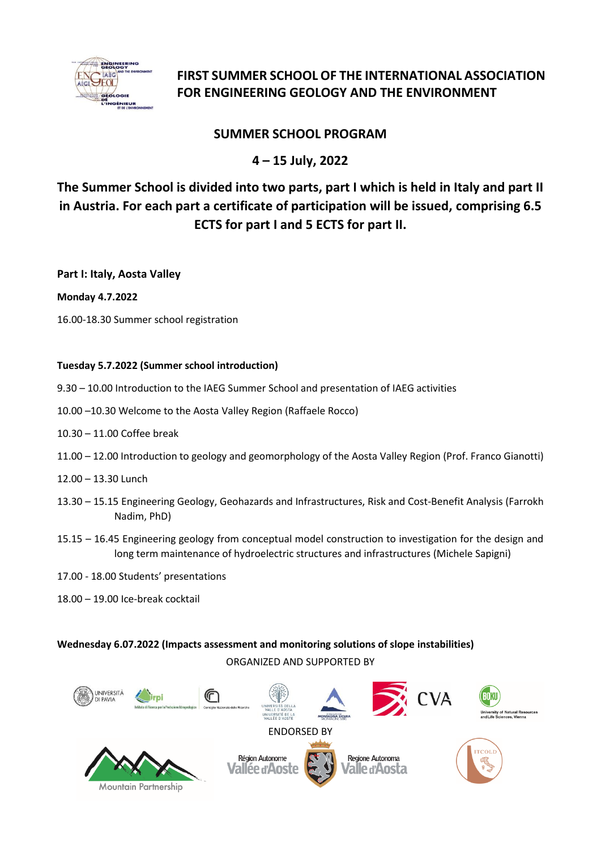

# **FIRST SUMMER SCHOOL OF THE INTERNATIONAL ASSOCIATION FOR ENGINEERING GEOLOGY AND THE ENVIRONMENT**

## **SUMMER SCHOOL PROGRAM**

## **4 – 15 July, 2022**

# **The Summer School is divided into two parts, part I which is held in Italy and part II in Austria. For each part a certificate of participation will be issued, comprising 6.5 ECTS for part I and 5 ECTS for part II.**

**Part I: Italy, Aosta Valley**

### **Monday 4.7.2022**

16.00-18.30 Summer school registration

### **Tuesday 5.7.2022 (Summer school introduction)**

- 9.30 10.00 Introduction to the IAEG Summer School and presentation of IAEG activities
- 10.00 –10.30 Welcome to the Aosta Valley Region (Raffaele Rocco)
- 10.30 11.00 Coffee break
- 11.00 12.00 Introduction to geology and geomorphology of the Aosta Valley Region (Prof. Franco Gianotti)
- 12.00 13.30 Lunch
- 13.30 15.15 Engineering Geology, Geohazards and Infrastructures, Risk and Cost-Benefit Analysis (Farrokh Nadim, PhD)
- 15.15 16.45 Engineering geology from conceptual model construction to investigation for the design and long term maintenance of hydroelectric structures and infrastructures (Michele Sapigni)
- 17.00 18.00 Students' presentations
- 18.00 19.00 Ice-break cocktail

### ORGANIZED AND SUPPORTED BY **Wednesday 6.07.2022 (Impacts assessment and monitoring solutions of slope instabilities)**

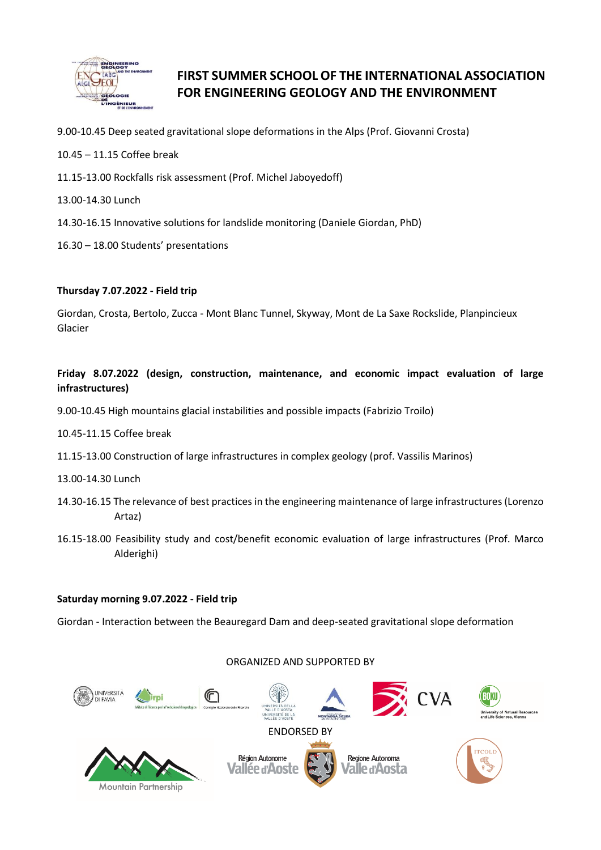

# **FIRST SUMMER SCHOOL OF THE INTERNATIONAL ASSOCIATION FOR ENGINEERING GEOLOGY AND THE ENVIRONMENT**

- 9.00-10.45 Deep seated gravitational slope deformations in the Alps (Prof. Giovanni Crosta)
- 10.45 11.15 Coffee break
- 11.15-13.00 Rockfalls risk assessment (Prof. Michel Jaboyedoff)
- 13.00-14.30 Lunch
- 14.30-16.15 Innovative solutions for landslide monitoring (Daniele Giordan, PhD)
- 16.30 18.00 Students' presentations

#### **Thursday 7.07.2022 - Field trip**

Giordan, Crosta, Bertolo, Zucca - Mont Blanc Tunnel, Skyway, Mont de La Saxe Rockslide, Planpincieux Glacier

### **Friday 8.07.2022 (design, construction, maintenance, and economic impact evaluation of large infrastructures)**

9.00-10.45 High mountains glacial instabilities and possible impacts (Fabrizio Troilo)

- 10.45-11.15 Coffee break
- 11.15-13.00 Construction of large infrastructures in complex geology (prof. Vassilis Marinos)
- 13.00-14.30 Lunch
- 14.30-16.15 The relevance of best practices in the engineering maintenance of large infrastructures (Lorenzo Artaz)
- 16.15-18.00 Feasibility study and cost/benefit economic evaluation of large infrastructures (Prof. Marco Alderighi)

#### **Saturday morning 9.07.2022 - Field trip**

Giordan - Interaction between the Beauregard Dam and deep-seated gravitational slope deformation

#### ORGANIZED AND SUPPORTED BY